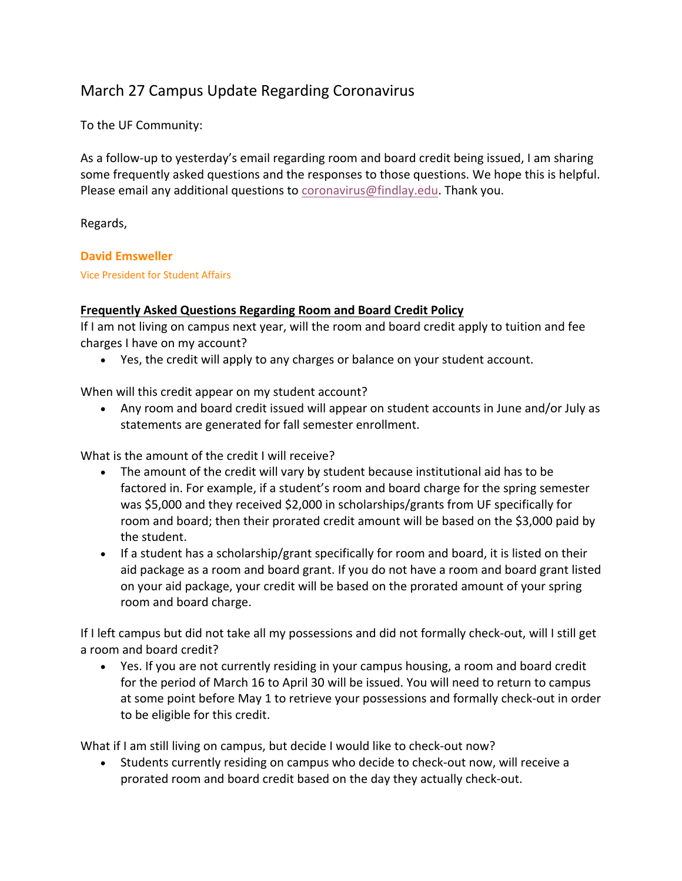## March 27 Campus Update Regarding Coronavirus

To the UF Community:

As a follow-up to yesterday's email regarding room and board credit being issued, I am sharing some frequently asked questions and the responses to those questions. We hope this is helpful. Please email any additional questions to coronavirus@findlay.edu. Thank you.

Regards,

## **David Emsweller**

Vice President for Student Affairs

## **Frequently Asked Questions Regarding Room and Board Credit Policy**

If I am not living on campus next year, will the room and board credit apply to tuition and fee charges I have on my account?

• Yes, the credit will apply to any charges or balance on your student account.

When will this credit appear on my student account?

• Any room and board credit issued will appear on student accounts in June and/or July as statements are generated for fall semester enrollment.

What is the amount of the credit I will receive?

- The amount of the credit will vary by student because institutional aid has to be factored in. For example, if a student's room and board charge for the spring semester was \$5,000 and they received \$2,000 in scholarships/grants from UF specifically for room and board; then their prorated credit amount will be based on the \$3,000 paid by the student.
- If a student has a scholarship/grant specifically for room and board, it is listed on their aid package as a room and board grant. If you do not have a room and board grant listed on your aid package, your credit will be based on the prorated amount of your spring room and board charge.

If I left campus but did not take all my possessions and did not formally check-out, will I still get a room and board credit?

• Yes. If you are not currently residing in your campus housing, a room and board credit for the period of March 16 to April 30 will be issued. You will need to return to campus at some point before May 1 to retrieve your possessions and formally check-out in order to be eligible for this credit.

What if I am still living on campus, but decide I would like to check-out now?

• Students currently residing on campus who decide to check-out now, will receive a prorated room and board credit based on the day they actually check-out.